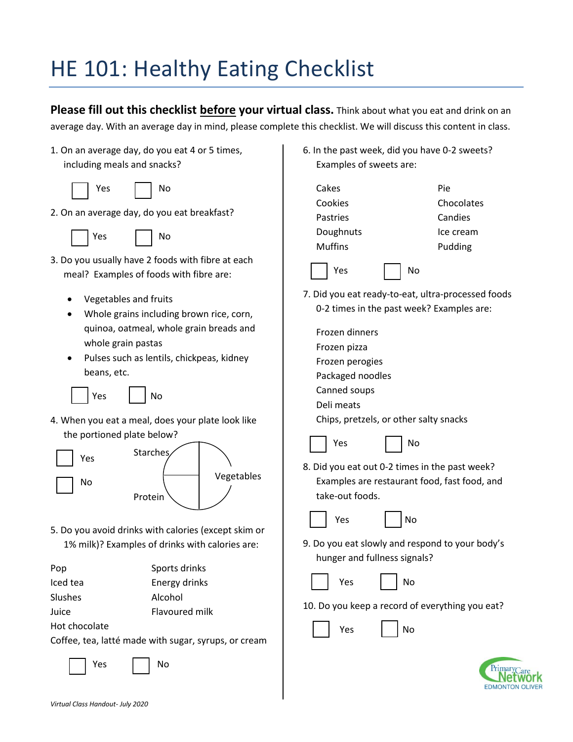## HE 101: Healthy Eating Checklist

**Please fill out this checklist before your virtual class.** Think about what you eat and drink on an average day. With an average day in mind, please complete this checklist. We will discuss this content in class.

1. On an average day, do you eat 4 or 5 times, including meals and snacks?

 $No$ 

| Υρς |
|-----|
|     |

- 2. On an average day, do you eat breakfast?
	-

Yes | No

- 3. Do you usually have 2 foods with fibre at each meal? Examples of foods with fibre are:
	- Vegetables and fruits
	- Whole grains including brown rice, corn, quinoa, oatmeal, whole grain breads and whole grain pastas
	- Pulses such as lentils, chickpeas, kidney beans, etc.

Yes | No

4. When you eat a meal, does your plate look like the portioned plate below?



5. Do you avoid drinks with calories (except skim or 1% milk)? Examples of drinks with calories are:

| Pop      | Sports drinks |
|----------|---------------|
| Iced tea | Energy drinks |

Slushes Alcohol

- Juice Flavoured milk
- Hot chocolate

Coffee, tea, latté made with sugar, syrups, or cream

Yes | No

6. In the past week, did you have 0-2 sweets? Examples of sweets are:



Chips, pretzels, or other salty snacks

| I |  | I |
|---|--|---|
|   |  |   |

Yes I No

8. Did you eat out 0-2 times in the past week? Examples are restaurant food, fast food, and take-out foods.

| Yes |
|-----|
|-----|

9. Do you eat slowly and respond to your body's hunger and fullness signals?

N<sub>o</sub>





10. Do you keep a record of everything you eat?

No

| ⁄ ρς |
|------|
|------|